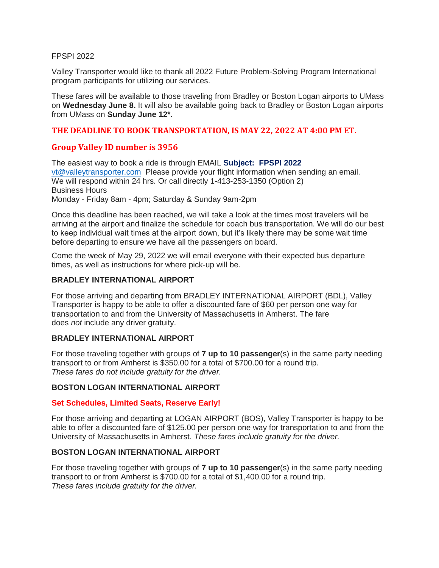#### FPSPI 2022

Valley Transporter would like to thank all 2022 Future Problem-Solving Program International program participants for utilizing our services.

These fares will be available to those traveling from Bradley or Boston Logan airports to UMass on **Wednesday June 8.** It will also be available going back to Bradley or Boston Logan airports from UMass on **Sunday June 12\*.**

# **THE DEADLINE TO BOOK TRANSPORTATION, IS MAY 22, 2022 AT 4:00 PM ET.**

# **Group Valley ID number is 3956**

The easiest way to book a ride is through EMAIL **Subject: FPSPI 2022** [vt@valleytransporter.com](mailto:vt@valleytransporter.com) Please provide your flight information when sending an email. We will respond within 24 hrs. Or call directly 1-413-253-1350 (Option 2) Business Hours Monday - Friday 8am - 4pm; Saturday & Sunday 9am-2pm

Once this deadline has been reached, we will take a look at the times most travelers will be arriving at the airport and finalize the schedule for coach bus transportation. We will do our best to keep individual wait times at the airport down, but it's likely there may be some wait time before departing to ensure we have all the passengers on board.

Come the week of May 29, 2022 we will email everyone with their expected bus departure times, as well as instructions for where pick-up will be.

### **BRADLEY INTERNATIONAL AIRPORT**

For those arriving and departing from BRADLEY INTERNATIONAL AIRPORT (BDL), Valley Transporter is happy to be able to offer a discounted fare of \$60 per person one way for transportation to and from the University of Massachusetts in Amherst. The fare does *not* include any driver gratuity.

### **BRADLEY INTERNATIONAL AIRPORT**

For those traveling together with groups of **7 up to 10 passenger**(s) in the same party needing transport to or from Amherst is \$350.00 for a total of \$700.00 for a round trip. *These fares do not include gratuity for the driver.*

### **BOSTON LOGAN INTERNATIONAL AIRPORT**

### **Set Schedules, Limited Seats, Reserve Early!**

For those arriving and departing at LOGAN AIRPORT (BOS), Valley Transporter is happy to be able to offer a discounted fare of \$125.00 per person one way for transportation to and from the University of Massachusetts in Amherst. *These fares include gratuity for the driver.*

### **BOSTON LOGAN INTERNATIONAL AIRPORT**

For those traveling together with groups of **7 up to 10 passenger**(s) in the same party needing transport to or from Amherst is \$700.00 for a total of \$1,400.00 for a round trip. *These fares include gratuity for the driver.*